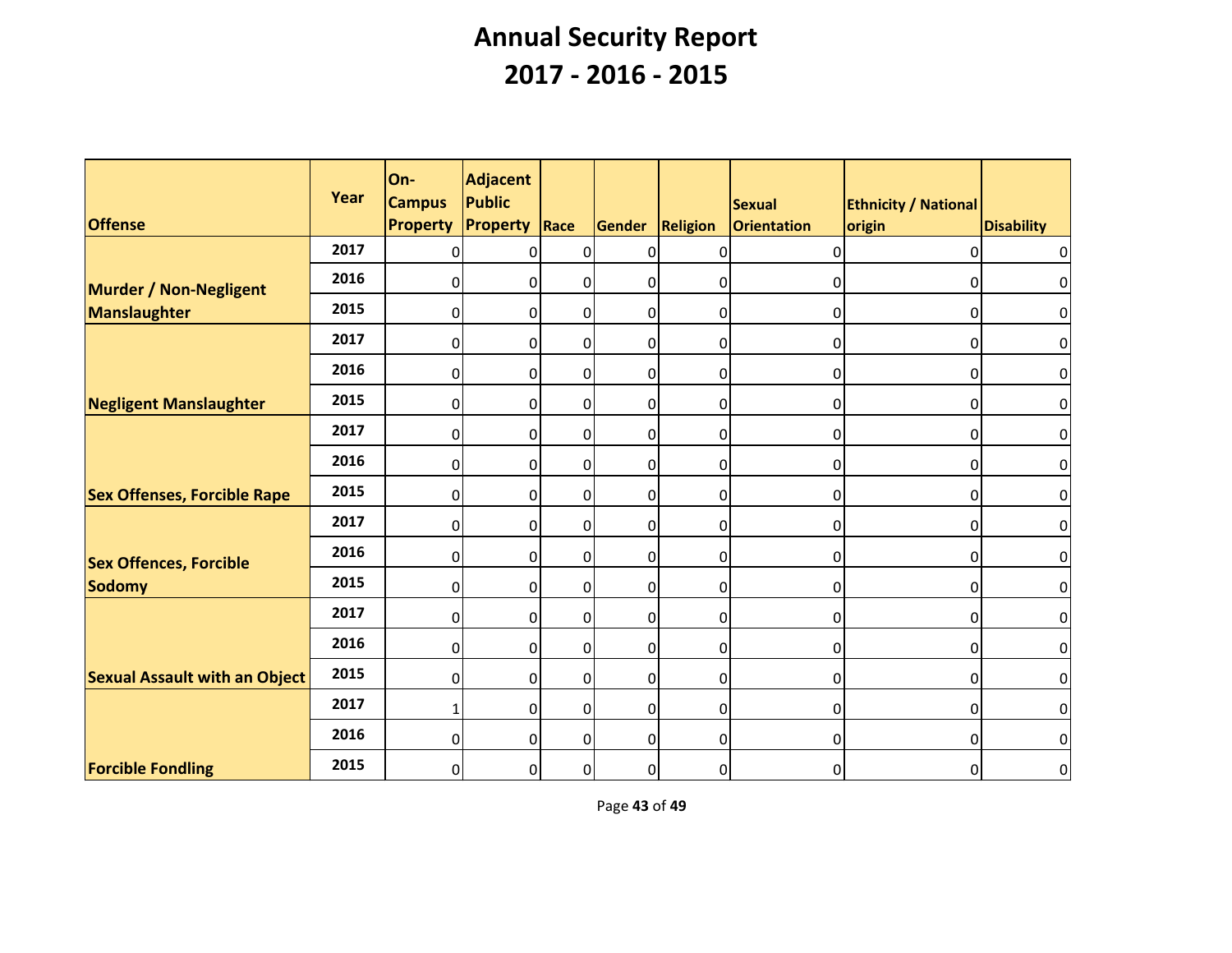| <b>Offense</b>                       | Year | On-<br><b>Campus</b><br><b>Property</b> | <b>Adjacent</b><br><b>Public</b><br><b>Property</b> | Race           | Gender         | Religion         | Sexual<br>Orientation | <b>Ethnicity / National</b><br>origin | <b>Disability</b> |
|--------------------------------------|------|-----------------------------------------|-----------------------------------------------------|----------------|----------------|------------------|-----------------------|---------------------------------------|-------------------|
|                                      | 2017 | $\Omega$                                | 0                                                   | $\mathbf 0$    | 0              | $\Omega$         | 0                     | $\Omega$                              | $\overline{0}$    |
| <b>Murder / Non-Negligent</b>        | 2016 | 0                                       | 0                                                   | $\mathbf 0$    | $\Omega$       | 0                | 0                     | 0                                     | $\overline{0}$    |
| <b>Manslaughter</b>                  | 2015 | $\overline{0}$                          | 0                                                   | $\overline{0}$ | 0              | $\overline{0}$   | 0                     | 0                                     | $\overline{0}$    |
|                                      | 2017 | $\overline{0}$                          | $\overline{0}$                                      | $\mathbf 0$    | 0              | 0                | 0                     | 0                                     | $\overline{0}$    |
|                                      | 2016 | 0                                       | 0                                                   | $\overline{0}$ | $\overline{0}$ | $\overline{0}$   | 0                     | 0                                     | $\overline{0}$    |
| <b>Negligent Manslaughter</b>        | 2015 | $\overline{0}$                          | $\overline{0}$                                      | $\overline{0}$ | $\overline{0}$ | $\overline{0}$   | 0                     | $\mathbf 0$                           | $\overline{0}$    |
|                                      | 2017 | $\overline{0}$                          | 0                                                   | $\overline{0}$ | 0              | $\overline{0}$   | 0                     | 0                                     | $\overline{0}$    |
|                                      | 2016 | $\overline{0}$                          | 0                                                   | $\mathbf 0$    | 0              | 0                | 0                     | 0                                     | $\overline{0}$    |
| <b>Sex Offenses, Forcible Rape</b>   | 2015 | 0                                       | 0                                                   | $\overline{0}$ | $\overline{0}$ | 0                | 0                     | 0                                     | $\overline{0}$    |
|                                      | 2017 | $\overline{0}$                          | 0                                                   | $\overline{0}$ | $\overline{0}$ | $\boldsymbol{0}$ | 0                     | $\mathbf 0$                           | $\overline{0}$    |
| <b>Sex Offences, Forcible</b>        | 2016 | $\overline{0}$                          | 0                                                   | $\mathbf 0$    | 0              | 0                | 0                     | 0                                     | $\overline{0}$    |
| <b>Sodomy</b>                        | 2015 | 0                                       | 0                                                   | $\overline{0}$ | 0              | 0                | 0                     | 0                                     | $\overline{0}$    |
|                                      | 2017 | 0                                       | $\overline{0}$                                      | $\mathbf 0$    | $\overline{0}$ | 0                | $\Omega$              | 0                                     | $\overline{0}$    |
|                                      | 2016 | $\overline{0}$                          | 0                                                   | $\overline{0}$ | 0              | 0                | 0                     | 0                                     | $\overline{0}$    |
| <b>Sexual Assault with an Object</b> | 2015 | $\overline{0}$                          | $\overline{0}$                                      | $\pmb{0}$      | 0              | $\boldsymbol{0}$ | 0                     | 0                                     | $\overline{0}$    |
|                                      | 2017 | 1                                       | $\overline{0}$                                      | $\overline{0}$ | 0              | $\boldsymbol{0}$ | 0                     | 0                                     | $\overline{0}$    |
|                                      | 2016 | $\overline{0}$                          | 0                                                   | $\Omega$       | 0              | $\overline{0}$   | 0                     | $\mathbf 0$                           | $\overline{0}$    |
| <b>Forcible Fondling</b>             | 2015 | $\overline{0}$                          | 0                                                   | $\overline{0}$ | 0              | $\overline{0}$   | 0                     | $\overline{0}$                        | $\overline{0}$    |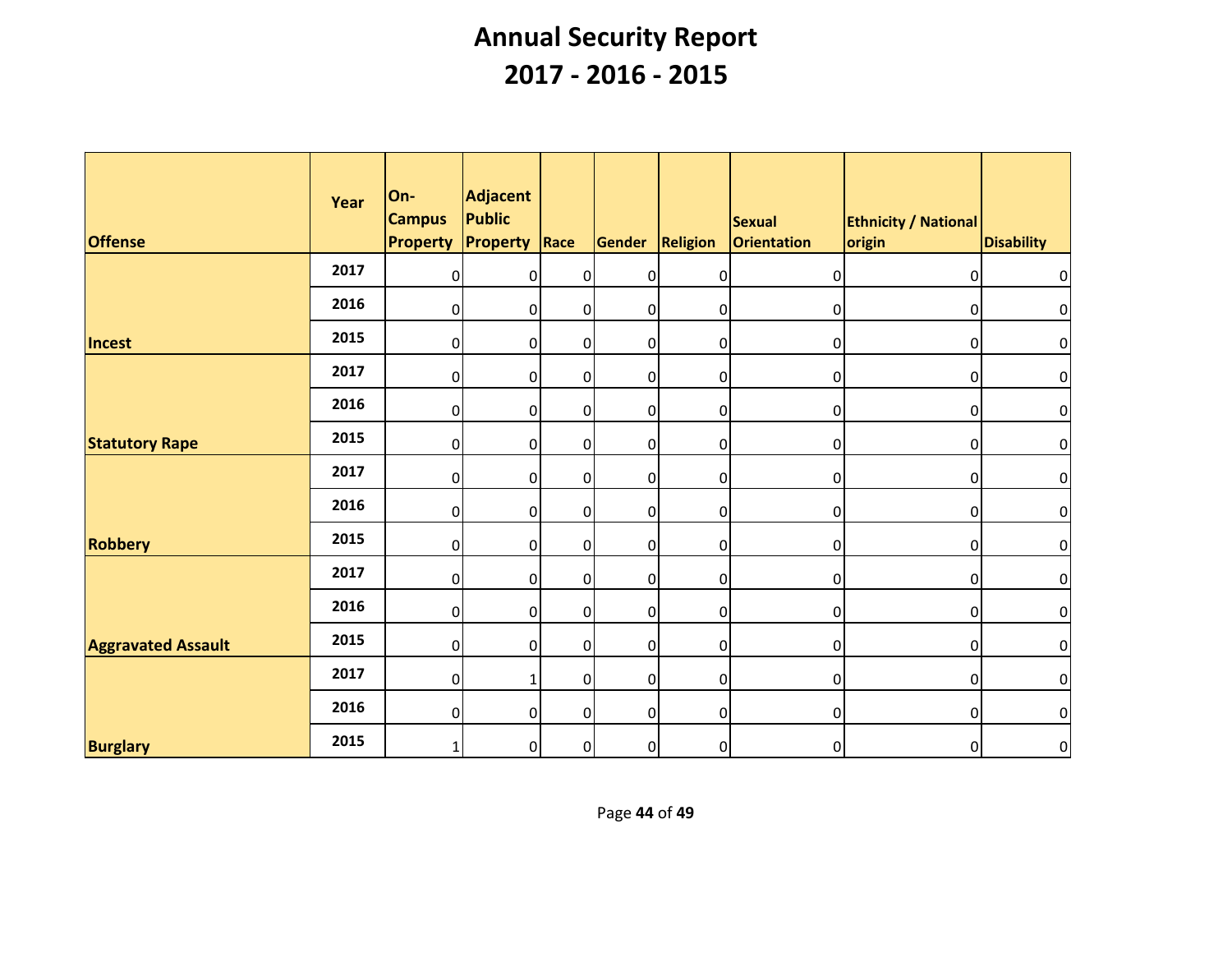| <b>Offense</b>            | Year | On-<br><b>Campus</b><br><b>Property</b> | Adjacent<br><b>Public</b><br>Property | $ $ Race       | Gender         | Religion         | Sexual<br><b>Orientation</b> | <b>Ethnicity / National</b><br>origin | <b>Disability</b> |
|---------------------------|------|-----------------------------------------|---------------------------------------|----------------|----------------|------------------|------------------------------|---------------------------------------|-------------------|
|                           | 2017 | $\overline{0}$                          | $\overline{0}$                        | $\overline{0}$ | $\overline{0}$ | $\overline{0}$   | $\overline{0}$               | $\overline{0}$                        | $\overline{0}$    |
|                           | 2016 | $\overline{0}$                          | $\overline{0}$                        | $\overline{0}$ | $\overline{0}$ | $\overline{0}$   | $\overline{0}$               | $\overline{0}$                        | $\overline{O}$    |
| Incest                    | 2015 | $\overline{0}$                          | $\overline{0}$                        | $\overline{0}$ | $\overline{0}$ | $\overline{0}$   | $\overline{0}$               | $\overline{0}$                        | $\overline{0}$    |
|                           | 2017 | $\overline{0}$                          | $\overline{0}$                        | $\overline{0}$ | $\overline{0}$ | $\overline{0}$   | $\mathbf 0$                  | $\overline{0}$                        | $\overline{0}$    |
|                           | 2016 | $\overline{0}$                          | $\overline{0}$                        | $\overline{0}$ | $\overline{0}$ | $\overline{0}$   | $\pmb{0}$                    | $\overline{0}$                        | $\overline{0}$    |
| <b>Statutory Rape</b>     | 2015 | $\overline{0}$                          | $\overline{0}$                        | $\overline{0}$ | $\overline{0}$ | $\overline{0}$   | $\pmb{0}$                    | $\overline{0}$                        | $\overline{0}$    |
|                           | 2017 | $\overline{0}$                          | $\overline{0}$                        | $\overline{0}$ | $\overline{0}$ | $\overline{0}$   | $\overline{0}$               | $\overline{0}$                        | $\boldsymbol{0}$  |
|                           | 2016 | $\overline{0}$                          | $\overline{0}$                        | $\overline{0}$ | $\overline{0}$ | $\overline{0}$   | $\overline{0}$               | $\overline{0}$                        | $\overline{0}$    |
| <b>Robbery</b>            | 2015 | 0                                       | $\overline{0}$                        | $\overline{0}$ | 0              | 0                | $\mathbf 0$                  | $\overline{0}$                        | $\overline{0}$    |
|                           | 2017 | $\boldsymbol{0}$                        | $\overline{0}$                        | $\overline{0}$ | $\overline{0}$ | $\boldsymbol{0}$ | $\pmb{0}$                    | $\overline{0}$                        | $\overline{0}$    |
|                           | 2016 | $\overline{0}$                          | 0                                     | $\overline{0}$ | $\overline{0}$ | $\overline{0}$   | $\overline{0}$               | $\overline{0}$                        | $\overline{0}$    |
| <b>Aggravated Assault</b> | 2015 | $\overline{0}$                          | 0                                     | $\overline{0}$ | $\overline{0}$ | $\overline{0}$   | $\overline{0}$               | $\overline{0}$                        | $\overline{O}$    |
|                           | 2017 | $\overline{0}$                          | $\mathbf{1}$                          | $\overline{0}$ | $\overline{0}$ | $\overline{0}$   | $\overline{0}$               | $\overline{0}$                        | $\overline{0}$    |
|                           | 2016 | $\overline{0}$                          | $\overline{0}$                        | $\overline{0}$ | $\overline{0}$ | 0                | $\mathbf 0$                  | $\overline{0}$                        | $\overline{0}$    |
| <b>Burglary</b>           | 2015 | $\mathbf{1}$                            | $\overline{0}$                        | $\overline{0}$ | $\overline{0}$ | $\mathbf 0$      | $\mathbf 0$                  | $\overline{0}$                        | $\overline{0}$    |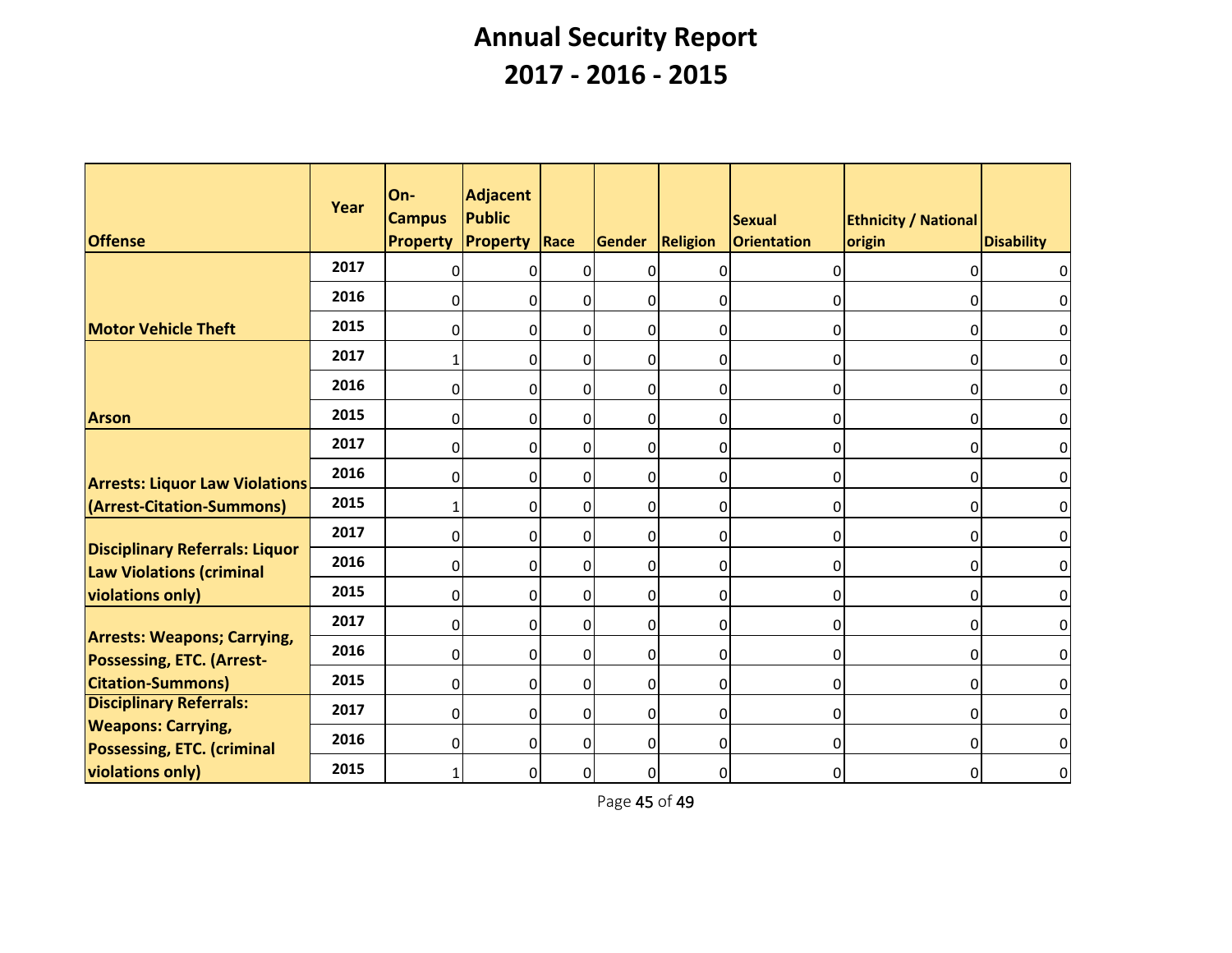| <b>Offense</b>                                                                                     | Year | On-<br><b>Campus</b><br><b>Property</b> | Adjacent<br>Public<br><b>Property</b> | Race           | Gender Religion |                | Sexual<br>Orientation | <b>Ethnicity / National</b><br>origin | <b>Disability</b> |
|----------------------------------------------------------------------------------------------------|------|-----------------------------------------|---------------------------------------|----------------|-----------------|----------------|-----------------------|---------------------------------------|-------------------|
|                                                                                                    | 2017 | $\Omega$                                | $\overline{0}$                        | $\overline{0}$ | $\Omega$        | $\mathbf 0$    | $\overline{0}$        | 0l                                    | $\overline{0}$    |
|                                                                                                    | 2016 | $\Omega$                                | 0                                     | $\overline{0}$ | 0               | $\overline{0}$ | 01                    | 01                                    | 0                 |
| <b>Motor Vehicle Theft</b>                                                                         | 2015 | $\overline{0}$                          | 0                                     | $\overline{0}$ | 0               | $\overline{0}$ | 0                     | $\overline{0}$                        | $\overline{0}$    |
|                                                                                                    | 2017 | $\mathbf{1}$                            | 0                                     | $\overline{0}$ | $\overline{0}$  | $\overline{0}$ | 0                     | $\overline{0}$                        | $\overline{0}$    |
|                                                                                                    | 2016 | 0                                       | $\overline{0}$                        | $\overline{0}$ | 0               | $\mathbf 0$    | $\overline{0}$        | 0                                     | $\overline{0}$    |
| <b>Arson</b>                                                                                       | 2015 | $\Omega$                                | $\overline{0}$                        | $\overline{0}$ | 0               | $\overline{0}$ | 0                     | 0                                     | $\overline{0}$    |
|                                                                                                    | 2017 | $\overline{0}$                          | 0                                     | $\overline{0}$ | 0               | $\overline{0}$ | 0                     | $\overline{0}$                        | $\overline{0}$    |
| <b>Arrests: Liquor Law Violations</b>                                                              | 2016 | $\Omega$                                | 0                                     | $\overline{0}$ | 0               | $\overline{0}$ | 0                     | $\overline{0}$                        | $\overline{0}$    |
| (Arrest-Citation-Summons)                                                                          | 2015 | $\mathbf{1}$                            | $\overline{0}$                        | $\overline{0}$ | 0               | $\mathbf 0$    | $\overline{0}$        | 0                                     | $\overline{0}$    |
| <b>Disciplinary Referrals: Liquor</b>                                                              | 2017 | $\Omega$                                | $\overline{0}$                        | $\overline{0}$ | 0               | $\overline{0}$ | 0                     | 0                                     | $\overline{0}$    |
| <b>Law Violations (criminal</b>                                                                    | 2016 | $\overline{0}$                          | 0                                     | $\overline{0}$ | 0               | $\overline{0}$ | 0                     | 0                                     | $\overline{0}$    |
| <b>violations only)</b>                                                                            | 2015 | $\Omega$                                | $\overline{0}$                        | $\overline{0}$ | 0               | $\overline{0}$ | 0                     | $\overline{0}$                        | $\overline{0}$    |
| <b>Arrests: Weapons; Carrying,</b><br><b>Possessing, ETC. (Arrest-</b><br><b>Citation-Summons)</b> | 2017 | 0                                       | $\overline{0}$                        | $\overline{0}$ | 0               | $\overline{0}$ | 0                     | 0l                                    | $\overline{0}$    |
|                                                                                                    | 2016 | $\overline{0}$                          | $\overline{0}$                        | $\overline{0}$ | $\overline{0}$  | $\overline{0}$ | 0                     | 01                                    | $\overline{0}$    |
|                                                                                                    | 2015 | $\overline{0}$                          | $\overline{0}$                        | $\overline{0}$ | 0               | $\overline{0}$ | 0                     | 0                                     | $\overline{0}$    |
| <b>Disciplinary Referrals:</b><br><b>Weapons: Carrying,</b>                                        | 2017 | $\overline{0}$                          | $\overline{0}$                        | $\overline{0}$ | 0               | $\overline{0}$ | $\overline{0}$        | $\overline{0}$                        | $\overline{0}$    |
| <b>Possessing, ETC. (criminal</b>                                                                  | 2016 | 0                                       | 0                                     | $\overline{0}$ | 0               | $\overline{0}$ | $\overline{0}$        | 0                                     | $\overline{0}$    |
| <b>violations only)</b>                                                                            | 2015 | 1                                       | $\overline{0}$                        | $\overline{0}$ | $\overline{0}$  | $\overline{0}$ | 0                     | 01                                    | $\overline{0}$    |

Page 45 of 49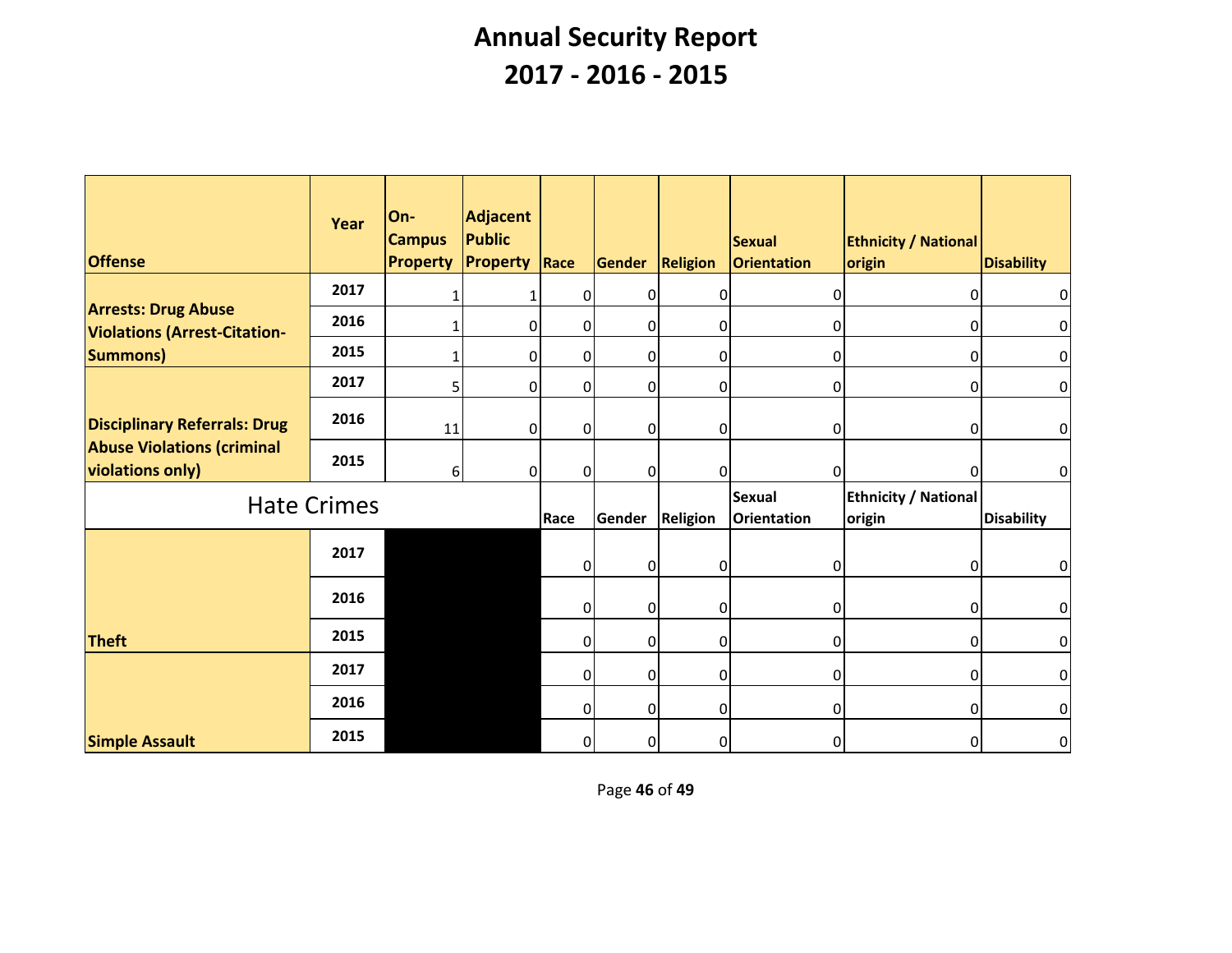| <b>Offense</b>                                                    | Year               | On-<br><b>Campus</b><br><b>Property</b> | Adjacent<br>Public<br><b>Property Race</b> |                | Gender         | Religion        | <b>Sexual</b><br>Orientation | <b>Ethnicity / National</b><br>origin | <b>Disability</b> |
|-------------------------------------------------------------------|--------------------|-----------------------------------------|--------------------------------------------|----------------|----------------|-----------------|------------------------------|---------------------------------------|-------------------|
|                                                                   | 2017               |                                         |                                            | $\overline{0}$ | 0              | $\overline{0}$  | $\Omega$                     | 01                                    | $\overline{0}$    |
| <b>Arrests: Drug Abuse</b><br><b>Violations (Arrest-Citation-</b> | 2016               |                                         | 0                                          | $\overline{0}$ | $\overline{0}$ | $\overline{0}$  | 0                            | $\overline{0}$                        | $\overline{0}$    |
| <b>Summons)</b>                                                   | 2015               | 1                                       | 0                                          | $\overline{0}$ | $\overline{0}$ | $\overline{0}$  | $\overline{0}$               | $\overline{0}$                        | $\overline{0}$    |
|                                                                   | 2017               | 5 <sup>1</sup>                          | 0                                          | $\overline{0}$ | $\overline{0}$ | 0               | $\overline{0}$               | $\overline{0}$                        | $\overline{0}$    |
| <b>Disciplinary Referrals: Drug</b>                               | 2016               | 11                                      | 0                                          | 0              | $\Omega$       | $\Omega$        | 0                            | $\Omega$                              | $\overline{0}$    |
| <b>Abuse Violations (criminal</b><br>violations only)             | 2015               | 6 <sup>1</sup>                          | $\Omega$                                   | $\overline{0}$ | $\Omega$       | $\overline{0}$  | 0                            | $\overline{0}$                        | 0                 |
|                                                                   | <b>Hate Crimes</b> |                                         |                                            | Race           | <b>Gender</b>  | <b>Religion</b> | Sexual<br>Orientation        | <b>Ethnicity / National</b><br>origin | <b>Disability</b> |
|                                                                   | 2017               |                                         |                                            | $\overline{0}$ | 0              | $\overline{0}$  | $\overline{0}$               | $\overline{0}$                        | $\overline{0}$    |
|                                                                   | 2016               |                                         |                                            | $\overline{0}$ | $\overline{0}$ | $\overline{0}$  | $\Omega$                     | 01                                    | $\overline{0}$    |
| <b>Theft</b>                                                      | 2015               |                                         |                                            | $\overline{0}$ | 0              | $\overline{0}$  | $\Omega$                     | $\Omega$                              | 0                 |
|                                                                   | 2017               |                                         |                                            | $\overline{0}$ | $\overline{0}$ | $\overline{0}$  | 0                            | 01                                    | $\overline{0}$    |
|                                                                   | 2016               |                                         |                                            | 0              | $\overline{0}$ | $\overline{0}$  | $\Omega$                     | $\Omega$                              | $\overline{0}$    |
| <b>Simple Assault</b>                                             | 2015               |                                         |                                            | $\overline{0}$ | 0              | 0               | 0                            | $\overline{0}$                        | $\overline{0}$    |

Page **46** of **49**